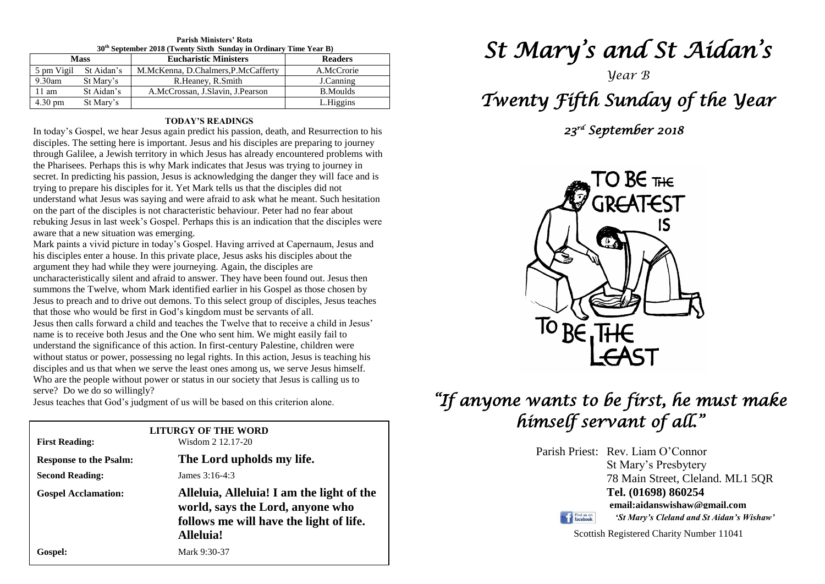| <b>Parish Ministers' Rota</b>                                                 |  |  |  |  |  |
|-------------------------------------------------------------------------------|--|--|--|--|--|
| 30 <sup>th</sup> September 2018 (Twenty Sixth Sunday in Ordinary Time Year B) |  |  |  |  |  |

| <b>Eucharistic Ministers</b><br><b>Mass</b> |            | <b>Readers</b>                      |                 |
|---------------------------------------------|------------|-------------------------------------|-----------------|
| 5 pm Vigil                                  | St Aidan's | M.McKenna, D.Chalmers, P.McCafferty | A.McCrorie      |
| $9.30$ am                                   | St Mary's  | R.Heaney, R.Smith                   | J.Canning       |
| $11 \text{ am}$                             | St Aidan's | A.McCrossan, J.Slavin, J.Pearson    | <b>B.Moulds</b> |
| $4.30 \text{ pm}$                           | St Mary's  |                                     | L.Higgins       |

#### **TODAY'S READINGS**

In today's Gospel, we hear Jesus again predict his passion, death, and Resurrection to his disciples. The setting here is important. Jesus and his disciples are preparing to journey through Galilee, a Jewish territory in which Jesus has already encountered problems with the Pharisees. Perhaps this is why Mark indicates that Jesus was trying to journey in secret. In predicting his passion, Jesus is acknowledging the danger they will face and is trying to prepare his disciples for it. Yet Mark tells us that the disciples did not understand what Jesus was saying and were afraid to ask what he meant. Such hesitation on the part of the disciples is not characteristic behaviour. Peter had no fear about rebuking Jesus in last week's Gospel. Perhaps this is an indication that the disciples were aware that a new situation was emerging.

**Jesus to preach and to drive out demons. To this select group of disciple** that those who would be first in God's kingdom must be servants of all. I serve than calle forward a shild and topolog the Twolve that to require name is to receive both Jesus and the One who sent him. We might easily fail to understand the significance of this action. In first-century Palestine, children were disciples and us that when we serve the least ones among us, we serve Jesus himsel<br>Who are the people without power or status in our society that Jesus is calling us to Mark paints a vivid picture in today's Gospel. Having arrived at Capernaum, Jesus and his disciples enter a house. In this private place, Jesus asks his disciples about the argument they had while they were journeying. Again, the disciples are uncharacteristically silent and afraid to answer. They have been found out. Jesus then summons the Twelve, whom Mark identified earlier in his Gospel as those chosen by Jesus to preach and to drive out demons. To this select group of disciples, Jesus teaches Jesus then calls forward a child and teaches the Twelve that to receive a child in Jesus' name is to receive both Jesus and the One who sent him. We might easily fail to without status or power, possessing no legal rights. In this action, Jesus is teaching his disciples and us that when we serve the least ones among us, we serve Jesus himself. serve? Do we do so willingly?

Jesus teaches that God's judgment of us will be based on this criterion alone.

| <b>First Reading:</b>         | <b>LITURGY OF THE WORD</b><br>Wisdom 2 12.17-20                                                                                       |  |
|-------------------------------|---------------------------------------------------------------------------------------------------------------------------------------|--|
| <b>Response to the Psalm:</b> | The Lord upholds my life.                                                                                                             |  |
| <b>Second Reading:</b>        | James $3:16-4:3$                                                                                                                      |  |
| <b>Gospel Acclamation:</b>    | Alleluia, Alleluia! I am the light of the<br>world, says the Lord, anyone who<br>follows me will have the light of life.<br>Alleluia! |  |
| Gospel:                       | Mark 9:30-37                                                                                                                          |  |

# *St Mary's and St Aidan's*

*Year B*

## *Twenty Fifth Sunday of the Year*

 *23rd September 2018* 



### *"If anyone wants to be first, he must make himself servant of all."*

Parish Priest: Rev. Liam O'Connor St Mary's Presbytery 78 Main Street, Cleland. ML1 5QR **Tel. (01698) 860254 email:aidanswishaw@gmail.com** Find us on

*'St Mary's Cleland and St Aidan's Wishaw'*

Scottish Registered Charity Number 11041